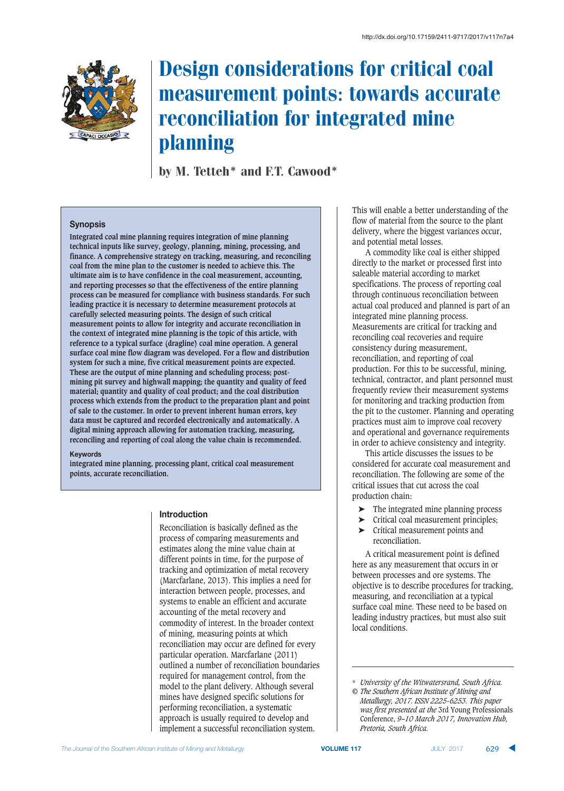

# Design considerations for critical coal measurement points: towards accurate reconciliation for integrated mine planning

by M. Tetteh\* and F.T. Cawood\*

# **Synopsis**

**Integrated coal mine planning requires integration of mine planning technical inputs like survey, geology, planning, mining, processing, and finance. A comprehensive strategy on tracking, measuring, and reconciling coal from the mine plan to the customer is needed to achieve this. The ultimate aim is to have confidence in the coal measurement, accounting, and reporting processes so that the effectiveness of the entire planning process can be measured for compliance with business standards. For such leading practice it is necessary to determine measurement protocols at carefully selected measuring points. The design of such critical measurement points to allow for integrity and accurate reconciliation in the context of integrated mine planning is the topic of this article, with reference to a typical surface (dragline) coal mine operation. A general surface coal mine flow diagram was developed. For a flow and distribution system for such a mine, five critical measurement points are expected. These are the output of mine planning and scheduling process; postmining pit survey and highwall mapping; the quantity and quality of feed material; quantity and quality of coal product; and the coal distribution process which extends from the product to the preparation plant and point of sale to the customer. In order to prevent inherent human errors, key data must be captured and recorded electronically and automatically. A digital mining approach allowing for automation tracking, measuring, reconciling and reporting of coal along the value chain is recommended.**

#### **Keywords**

**integrated mine planning, processing plant, critical coal measurement points, accurate reconciliation.**

#### $\blacksquare$  **htroduction**

Reconciliation is basically defined as the process of comparing measurements and estimates along the mine value chain at different points in time, for the purpose of tracking and optimization of metal recovery (Marcfarlane, 2013). This implies a need for interaction between people, processes, and systems to enable an efficient and accurate accounting of the metal recovery and commodity of interest. In the broader context of mining, measuring points at which reconciliation may occur are defined for every particular operation. Marcfarlane (2011) outlined a number of reconciliation boundaries required for management control, from the model to the plant delivery. Although several mines have designed specific solutions for performing reconciliation, a systematic approach is usually required to develop and implement a successful reconciliation system.

This will enable a better understanding of the flow of material from the source to the plant delivery, where the biggest variances occur, and potential metal losses.

A commodity like coal is either shipped directly to the market or processed first into saleable material according to market specifications. The process of reporting coal through continuous reconciliation between actual coal produced and planned is part of an integrated mine planning process. Measurements are critical for tracking and reconciling coal recoveries and require consistency during measurement, reconciliation, and reporting of coal production. For this to be successful, mining, technical, contractor, and plant personnel must frequently review their measurement systems for monitoring and tracking production from the pit to the customer. Planning and operating practices must aim to improve coal recovery and operational and governance requirements in order to achieve consistency and integrity.

This article discusses the issues to be considered for accurate coal measurement and reconciliation. The following are some of the critical issues that cut across the coal production chain:

- ➤ The integrated mine planning process
- ➤ Critical coal measurement principles;
- ➤ Critical measurement points and reconciliation.

A critical measurement point is defined here as any measurement that occurs in or between processes and ore systems. The objective is to describe procedures for tracking, measuring, and reconciliation at a typical surface coal mine. These need to be based on leading industry practices, but must also suit local conditions.

<sup>\*</sup> *University of the Witwatersrand, South Africa. © The Southern African Institute of Mining and*

*Metallurgy, 2017. ISSN 2225-6253. This paper was first presented at the* 3rd Young Professionals Conference, *9–10 March 2017, Innovation Hub, Pretoria, South Africa.*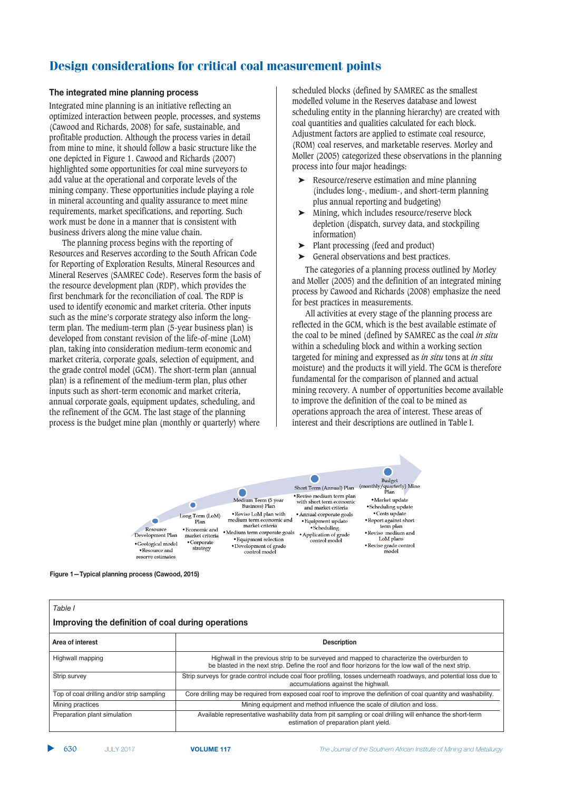### **The integrated mine planning process**

Integrated mine planning is an initiative reflecting an optimized interaction between people, processes, and systems (Cawood and Richards, 2008) for safe, sustainable, and profitable production. Although the process varies in detail from mine to mine, it should follow a basic structure like the one depicted in Figure 1. Cawood and Richards (2007) highlighted some opportunities for coal mine surveyors to add value at the operational and corporate levels of the mining company. These opportunities include playing a role in mineral accounting and quality assurance to meet mine requirements, market specifications, and reporting. Such work must be done in a manner that is consistent with business drivers along the mine value chain.

The planning process begins with the reporting of Resources and Reserves according to the South African Code for Reporting of Exploration Results, Mineral Resources and Mineral Reserves (SAMREC Code). Reserves form the basis of the resource development plan (RDP), which provides the first benchmark for the reconciliation of coal. The RDP is used to identify economic and market criteria. Other inputs such as the mine's corporate strategy also inform the longterm plan. The medium-term plan (5-year business plan) is developed from constant revision of the life-of-mine (LoM) plan, taking into consideration medium-term economic and market criteria, corporate goals, selection of equipment, and the grade control model (GCM). The short-term plan (annual plan) is a refinement of the medium-term plan, plus other inputs such as short-term economic and market criteria, annual corporate goals, equipment updates, scheduling, and the refinement of the GCM. The last stage of the planning process is the budget mine plan (monthly or quarterly) where

scheduled blocks (defined by SAMREC as the smallest modelled volume in the Reserves database and lowest scheduling entity in the planning hierarchy) are created with coal quantities and qualities calculated for each block. Adjustment factors are applied to estimate coal resource, (ROM) coal reserves, and marketable reserves. Morley and Moller (2005) categorized these observations in the planning process into four major headings:

- ➤ Resource/reserve estimation and mine planning (includes long-, medium-, and short-term planning plus annual reporting and budgeting)
- ➤ Mining, which includes resource/reserve block depletion (dispatch, survey data, and stockpiling information)
- ➤ Plant processing (feed and product)
- ➤ General observations and best practices.

The categories of a planning process outlined by Morley and Moller (2005) and the definition of an integrated mining process by Cawood and Richards (2008) emphasize the need for best practices in measurements.

All activities at every stage of the planning process are reflected in the GCM, which is the best available estimate of the coal to be mined (defined by SAMREC as the coal *in situ* within a scheduling block and within a working section targeted for mining and expressed as *in situ* tons at *in situ* moisture) and the products it will yield. The GCM is therefore fundamental for the comparison of planned and actual mining recovery. A number of opportunities become available to improve the definition of the coal to be mined as operations approach the area of interest. These areas of interest and their descriptions are outlined in Table I.



**Figure 1—Typical planning process (Cawood, 2015)** 

| Table I<br>Improving the definition of coal during operations |                                                                                                                                                                                                    |  |  |  |
|---------------------------------------------------------------|----------------------------------------------------------------------------------------------------------------------------------------------------------------------------------------------------|--|--|--|
| Area of interest                                              | <b>Description</b>                                                                                                                                                                                 |  |  |  |
| Highwall mapping                                              | Highwall in the previous strip to be surveyed and mapped to characterize the overburden to<br>be blasted in the next strip. Define the roof and floor horizons for the low wall of the next strip. |  |  |  |
| Strip survey                                                  | Strip surveys for grade control include coal floor profiling, losses underneath roadways, and potential loss due to<br>accumulations against the highwall.                                         |  |  |  |
| Top of coal drilling and/or strip sampling                    | Core drilling may be required from exposed coal roof to improve the definition of coal quantity and washability.                                                                                   |  |  |  |
| Mining practices                                              | Mining equipment and method influence the scale of dilution and loss.                                                                                                                              |  |  |  |
| Preparation plant simulation                                  | Available representative washability data from pit sampling or coal drilling will enhance the short-term<br>estimation of preparation plant yield.                                                 |  |  |  |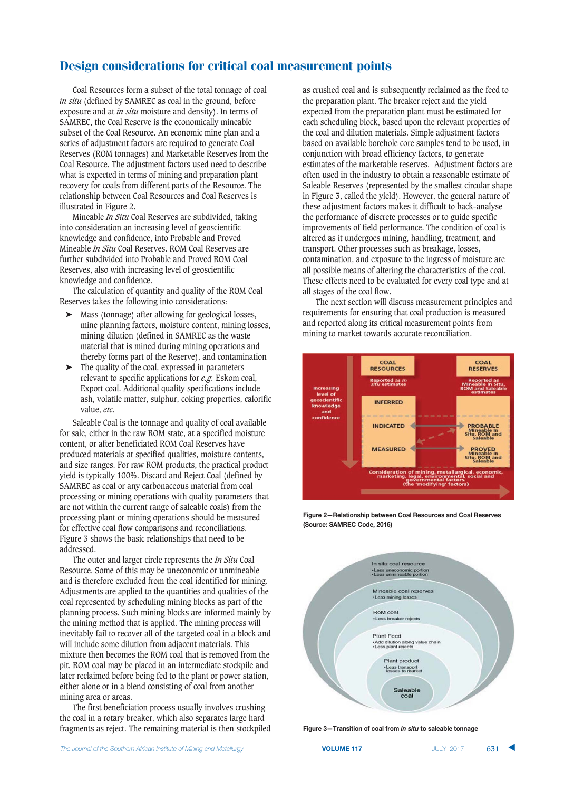Coal Resources form a subset of the total tonnage of coal *in situ* (defined by SAMREC as coal in the ground, before exposure and at *in situ* moisture and density). In terms of SAMREC, the Coal Reserve is the economically mineable subset of the Coal Resource. An economic mine plan and a series of adjustment factors are required to generate Coal Reserves (ROM tonnages) and Marketable Reserves from the Coal Resource. The adjustment factors used need to describe what is expected in terms of mining and preparation plant recovery for coals from different parts of the Resource. The relationship between Coal Resources and Coal Reserves is illustrated in Figure 2.

Mineable *In Situ* Coal Reserves are subdivided, taking into consideration an increasing level of geoscientific knowledge and confidence, into Probable and Proved Mineable *In Situ* Coal Reserves. ROM Coal Reserves are further subdivided into Probable and Proved ROM Coal Reserves, also with increasing level of geoscientific knowledge and confidence.

The calculation of quantity and quality of the ROM Coal Reserves takes the following into considerations:

- Mass (tonnage) after allowing for geological losses, mine planning factors, moisture content, mining losses, mining dilution (defined in SAMREC as the waste material that is mined during mining operations and thereby forms part of the Reserve), and contamination
- ➤ The quality of the coal, expressed in parameters relevant to specific applications for *e.g.* Eskom coal, Export coal. Additional quality specifications include ash, volatile matter, sulphur, coking properties, calorific value, *etc.*

Saleable Coal is the tonnage and quality of coal available for sale, either in the raw ROM state, at a specified moisture content, or after beneficiated ROM Coal Reserves have produced materials at specified qualities, moisture contents, and size ranges. For raw ROM products, the practical product yield is typically 100%. Discard and Reject Coal (defined by SAMREC as coal or any carbonaceous material from coal processing or mining operations with quality parameters that are not within the current range of saleable coals) from the processing plant or mining operations should be measured for effective coal flow comparisons and reconciliations. Figure 3 shows the basic relationships that need to be addressed.

The outer and larger circle represents the *In Situ* Coal Resource. Some of this may be uneconomic or unmineable and is therefore excluded from the coal identified for mining. Adjustments are applied to the quantities and qualities of the coal represented by scheduling mining blocks as part of the planning process. Such mining blocks are informed mainly by the mining method that is applied. The mining process will inevitably fail to recover all of the targeted coal in a block and will include some dilution from adjacent materials. This mixture then becomes the ROM coal that is removed from the pit. ROM coal may be placed in an intermediate stockpile and later reclaimed before being fed to the plant or power station, either alone or in a blend consisting of coal from another mining area or areas.

The first beneficiation process usually involves crushing the coal in a rotary breaker, which also separates large hard fragments as reject. The remaining material is then stockpiled as crushed coal and is subsequently reclaimed as the feed to the preparation plant. The breaker reject and the yield expected from the preparation plant must be estimated for each scheduling block, based upon the relevant properties of the coal and dilution materials. Simple adjustment factors based on available borehole core samples tend to be used, in conjunction with broad efficiency factors, to generate estimates of the marketable reserves. Adjustment factors are often used in the industry to obtain a reasonable estimate of Saleable Reserves (represented by the smallest circular shape in Figure 3, called the yield). However, the general nature of these adjustment factors makes it difficult to back-analyse the performance of discrete processes or to guide specific improvements of field performance. The condition of coal is altered as it undergoes mining, handling, treatment, and transport. Other processes such as breakage, losses, contamination, and exposure to the ingress of moisture are all possible means of altering the characteristics of the coal. These effects need to be evaluated for every coal type and at all stages of the coal flow.

The next section will discuss measurement principles and requirements for ensuring that coal production is measured and reported along its critical measurement points from mining to market towards accurate reconciliation.



**Figure 2-Relationship between Coal Resources and Coal Reserves** (Source: SAMREC Code, 2016)



**Figure 3-Transition of coal from in situ to saleable tonnage**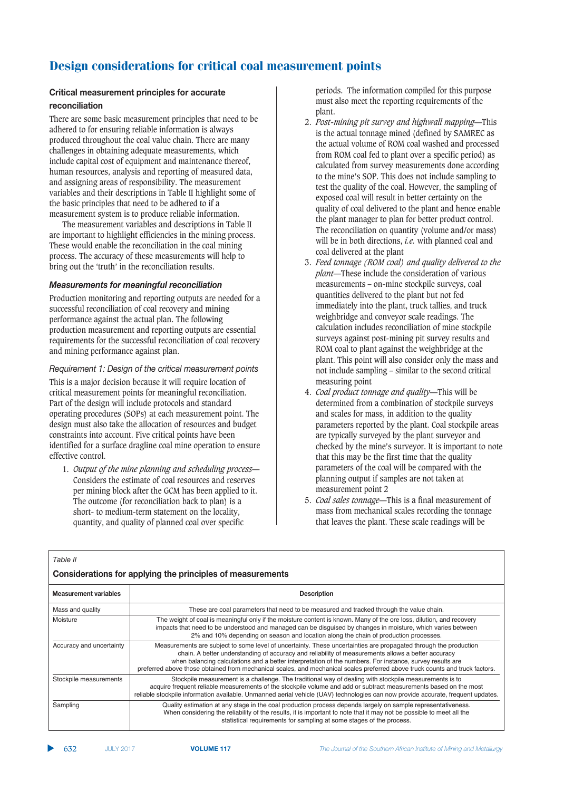### $k$  Critical measurement principles for accurate

### $reconciliation$

There are some basic measurement principles that need to be adhered to for ensuring reliable information is always produced throughout the coal value chain. There are many challenges in obtaining adequate measurements, which include capital cost of equipment and maintenance thereof, human resources, analysis and reporting of measured data, and assigning areas of responsibility. The measurement variables and their descriptions in Table II highlight some of the basic principles that need to be adhered to if a measurement system is to produce reliable information.

The measurement variables and descriptions in Table II are important to highlight efficiencies in the mining process. These would enable the reconciliation in the coal mining process. The accuracy of these measurements will help to bring out the 'truth' in the reconciliation results.

### Measurements for meaningful reconciliation

Production monitoring and reporting outputs are needed for a successful reconciliation of coal recovery and mining performance against the actual plan. The following production measurement and reporting outputs are essential requirements for the successful reconciliation of coal recovery and mining performance against plan.

## *Requirement 1: Design of the critical measurement points*

This is a major decision because it will require location of critical measurement points for meaningful reconciliation. Part of the design will include protocols and standard operating procedures (SOPs) at each measurement point. The design must also take the allocation of resources and budget constraints into account. Five critical points have been identified for a surface dragline coal mine operation to ensure effective control.

1. *Output of the mine planning and scheduling process*— Considers the estimate of coal resources and reserves per mining block after the GCM has been applied to it. The outcome (for reconciliation back to plan) is a short- to medium-term statement on the locality, quantity, and quality of planned coal over specific

periods. The information compiled for this purpose must also meet the reporting requirements of the plant.

- 2. *Post-mining pit survey and highwall mapping*—This is the actual tonnage mined (defined by SAMREC as the actual volume of ROM coal washed and processed from ROM coal fed to plant over a specific period) as calculated from survey measurements done according to the mine's SOP. This does not include sampling to test the quality of the coal. However, the sampling of exposed coal will result in better certainty on the quality of coal delivered to the plant and hence enable the plant manager to plan for better product control. The reconciliation on quantity (volume and/or mass) will be in both directions, *i.e.* with planned coal and coal delivered at the plant
- 3. *Feed tonnage (ROM coal) and quality delivered to the plant*—These include the consideration of various measurements – on-mine stockpile surveys, coal quantities delivered to the plant but not fed immediately into the plant, truck tallies, and truck weighbridge and conveyor scale readings. The calculation includes reconciliation of mine stockpile surveys against post-mining pit survey results and ROM coal to plant against the weighbridge at the plant. This point will also consider only the mass and not include sampling – similar to the second critical measuring point
- 4. *Coal product tonnage and quality*—This will be determined from a combination of stockpile surveys and scales for mass, in addition to the quality parameters reported by the plant. Coal stockpile areas are typically surveyed by the plant surveyor and checked by the mine's surveyor. It is important to note that this may be the first time that the quality parameters of the coal will be compared with the planning output if samples are not taken at measurement point 2
- 5. *Coal sales tonnage*—This is a final measurement of mass from mechanical scales recording the tonnage that leaves the plant. These scale readings will be

| Table II                                                   |                                                                                                                                                                                                                                                                                                                                                                                                                                                                    |  |  |  |  |  |
|------------------------------------------------------------|--------------------------------------------------------------------------------------------------------------------------------------------------------------------------------------------------------------------------------------------------------------------------------------------------------------------------------------------------------------------------------------------------------------------------------------------------------------------|--|--|--|--|--|
| Considerations for applying the principles of measurements |                                                                                                                                                                                                                                                                                                                                                                                                                                                                    |  |  |  |  |  |
| <b>Measurement variables</b>                               | <b>Description</b>                                                                                                                                                                                                                                                                                                                                                                                                                                                 |  |  |  |  |  |
| Mass and quality                                           | These are coal parameters that need to be measured and tracked through the value chain.                                                                                                                                                                                                                                                                                                                                                                            |  |  |  |  |  |
| Moisture                                                   | The weight of coal is meaningful only if the moisture content is known. Many of the ore loss, dilution, and recovery<br>impacts that need to be understood and managed can be disguised by changes in moisture, which varies between<br>2% and 10% depending on season and location along the chain of production processes.                                                                                                                                       |  |  |  |  |  |
| Accuracy and uncertainty                                   | Measurements are subject to some level of uncertainty. These uncertainties are propagated through the production<br>chain. A better understanding of accuracy and reliability of measurements allows a better accuracy<br>when balancing calculations and a better interpretation of the numbers. For instance, survey results are<br>preferred above those obtained from mechanical scales, and mechanical scales preferred above truck counts and truck factors. |  |  |  |  |  |
| Stockpile measurements                                     | Stockpile measurement is a challenge. The traditional way of dealing with stockpile measurements is to<br>acquire frequent reliable measurements of the stockpile volume and add or subtract measurements based on the most<br>reliable stockpile information available. Unmanned aerial vehicle (UAV) technologies can now provide accurate, frequent updates.                                                                                                    |  |  |  |  |  |
| Sampling                                                   | Quality estimation at any stage in the coal production process depends largely on sample representativeness.<br>When considering the reliability of the results, it is important to note that it may not be possible to meet all the<br>statistical requirements for sampling at some stages of the process.                                                                                                                                                       |  |  |  |  |  |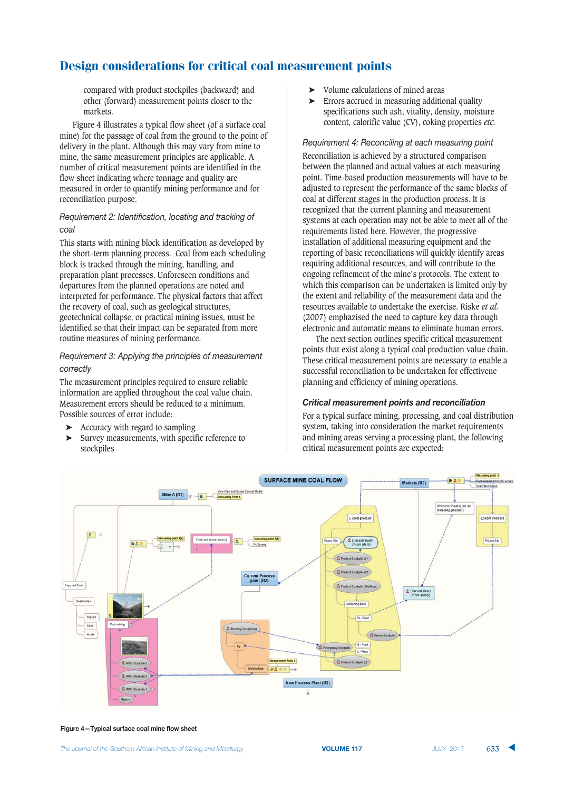compared with product stockpiles (backward) and other (forward) measurement points closer to the markets.

Figure 4 illustrates a typical flow sheet (of a surface coal mine) for the passage of coal from the ground to the point of delivery in the plant. Although this may vary from mine to mine, the same measurement principles are applicable. A number of critical measurement points are identified in the flow sheet indicating where tonnage and quality are measured in order to quantify mining performance and for reconciliation purpose.

## **Requirement 2: Identification, locating and tracking of** coal

This starts with mining block identification as developed by the short-term planning process. Coal from each scheduling block is tracked through the mining, handling, and preparation plant processes. Unforeseen conditions and departures from the planned operations are noted and interpreted for performance. The physical factors that affect the recovery of coal, such as geological structures, geotechnical collapse, or practical mining issues, must be identified so that their impact can be separated from more routine measures of mining performance.

# *Requirement 3: Applying the principles of measurement*

The measurement principles required to ensure reliable information are applied throughout the coal value chain. Measurement errors should be reduced to a minimum. Possible sources of error include:

- ➤ Accuracy with regard to sampling
- ➤ Survey measurements, with specific reference to stockpiles
- ➤ Volume calculations of mined areas
- ➤ Errors accrued in measuring additional quality specifications such ash, vitality, density, moisture content, calorific value (CV), coking properties *etc.*

### **Requirement 4: Reconciling at each measuring point**

Reconciliation is achieved by a structured comparison between the planned and actual values at each measuring point. Time-based production measurements will have to be adjusted to represent the performance of the same blocks of coal at different stages in the production process. It is recognized that the current planning and measurement systems at each operation may not be able to meet all of the requirements listed here. However, the progressive installation of additional measuring equipment and the reporting of basic reconciliations will quickly identify areas requiring additional resources, and will contribute to the ongoing refinement of the mine's protocols. The extent to which this comparison can be undertaken is limited only by the extent and reliability of the measurement data and the resources available to undertake the exercise. Riske *et al.* (2007) emphazised the need to capture key data through electronic and automatic means to eliminate human errors.

The next section outlines specific critical measurement points that exist along a typical coal production value chain. These critical measurement points are necessary to enable a successful reconciliation to be undertaken for effectivene planning and efficiency of mining operations.

## Critical measurement points and reconciliation

For a typical surface mining, processing, and coal distribution system, taking into consideration the market requirements and mining areas serving a processing plant, the following critical measurement points are expected:



**Figure 4-Typical surface coal mine flow sheet**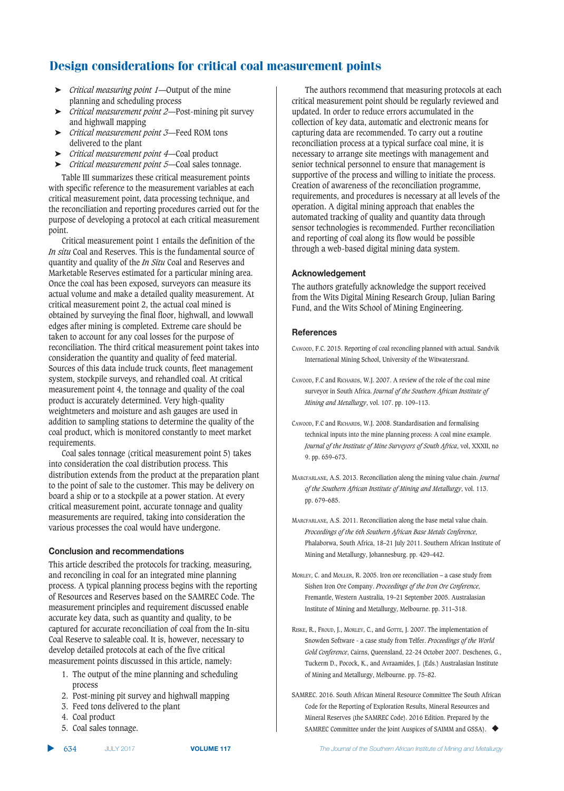- ➤ *Critical measuring point 1*—Output of the mine planning and scheduling process
- ➤ *Critical measurement point 2*—Post-mining pit survey and highwall mapping
- ➤ *Critical measurement point 3*—Feed ROM tons delivered to the plant
- ➤ *Critical measurement point 4*—Coal product
- ➤ *Critical measurement point 5*—Coal sales tonnage.

Table III summarizes these critical measurement points with specific reference to the measurement variables at each critical measurement point, data processing technique, and the reconciliation and reporting procedures carried out for the purpose of developing a protocol at each critical measurement point.

Critical measurement point 1 entails the definition of the *In situ* Coal and Reserves. This is the fundamental source of quantity and quality of the *In Situ* Coal and Reserves and Marketable Reserves estimated for a particular mining area. Once the coal has been exposed, surveyors can measure its actual volume and make a detailed quality measurement. At critical measurement point 2, the actual coal mined is obtained by surveying the final floor, highwall, and lowwall edges after mining is completed. Extreme care should be taken to account for any coal losses for the purpose of reconciliation. The third critical measurement point takes into consideration the quantity and quality of feed material. Sources of this data include truck counts, fleet management system, stockpile surveys, and rehandled coal. At critical measurement point 4, the tonnage and quality of the coal product is accurately determined. Very high-quality weightmeters and moisture and ash gauges are used in addition to sampling stations to determine the quality of the coal product, which is monitored constantly to meet market requirements.

Coal sales tonnage (critical measurement point 5) takes into consideration the coal distribution process. This distribution extends from the product at the preparation plant to the point of sale to the customer. This may be delivery on board a ship or to a stockpile at a power station. At every critical measurement point, accurate tonnage and quality measurements are required, taking into consideration the various processes the coal would have undergone.

### $R$  Conclusion and recommendations

This article described the protocols for tracking, measuring, and reconciling in coal for an integrated mine planning process. A typical planning process begins with the reporting of Resources and Reserves based on the SAMREC Code. The measurement principles and requirement discussed enable accurate key data, such as quantity and quality, to be captured for accurate reconciliation of coal from the In-situ Coal Reserve to saleable coal. It is, however, necessary to develop detailed protocols at each of the five critical measurement points discussed in this article, namely:

- 1. The output of the mine planning and scheduling process
- 2. Post-mining pit survey and highwall mapping
- 3. Feed tons delivered to the plant
- 4. Coal product
- 5. Coal sales tonnage.

The authors recommend that measuring protocols at each critical measurement point should be regularly reviewed and updated. In order to reduce errors accumulated in the collection of key data, automatic and electronic means for capturing data are recommended. To carry out a routine reconciliation process at a typical surface coal mine, it is necessary to arrange site meetings with management and senior technical personnel to ensure that management is supportive of the process and willing to initiate the process. Creation of awareness of the reconciliation programme, requirements, and procedures is necessary at all levels of the operation. A digital mining approach that enables the automated tracking of quality and quantity data through sensor technologies is recommended. Further reconciliation and reporting of coal along its flow would be possible through a web-based digital mining data system.

### $Acknowledgement$

The authors gratefully acknowledge the support received from the Wits Digital Mining Research Group, Julian Baring Fund, and the Wits School of Mining Engineering.

### **References**

- CAWOOD, F.C. 2015. Reporting of coal reconciling planned with actual. Sandvik International Mining School, University of the Witwatersrand.
- CAWOOD, F.C and RICHARDS, W.J. 2007. A review of the role of the coal mine surveyor in South Africa. *Journal of the Southern African Institute of Mining and Metallurgy*, vol. 107. pp. 109–113.
- CAWOOD, F.C and RICHARDS, W.J. 2008. Standardisation and formalising technical inputs into the mine planning process: A coal mine example. *Journal of the Institute of Mine Surveyors of South Africa*, vol, XXXII, no 9. pp. 659–673.
- MARCFARLANE, A.S. 2013. Reconciliation along the mining value chain. *Journal of the Southern African Institute of Mining and Metallurgy*, vol. 113. pp. 679–685.
- MARCFARLANE, A.S. 2011. Reconciliation along the base metal value chain. *Proceedings of the 6th Southern African Base Metals Conference*, Phalaborwa, South Africa, 18–21 July 2011. Southern African Institute of Mining and Metallurgy, Johannesburg. pp. 429–442.
- MORLEY, C. and MOLLER, R. 2005. Iron ore reconciliation a case study from Sishen Iron Ore Company. *Proceedings of the Iron Ore Conference*, Fremantle, Western Australia, 19–21 September 2005. Australasian Institute of Mining and Metallurgy, Melbourne. pp. 311–318.
- RISKE, R., FROUD, J., MORLEY, C., and GOTTE, J. 2007. The implementation of Snowden Software - a case study from Telfer. *Proceedings of the World Gold Conference*, Cairns, Queensland, 22-24 October 2007. Deschenes, G., Tuckerm D., Pocock, K., and Avraamides, J. (Eds.) Australasian Institute of Mining and Metallurgy, Melbourne. pp. 75–82.
- SAMREC. 2016. South African Mineral Resource Committee The South African Code for the Reporting of Exploration Results, Mineral Resources and Mineral Reserves (the SAMREC Code). 2016 Edition. Prepared by the SAMREC Committee under the Joint Auspices of SAIMM and GSSA). ◆